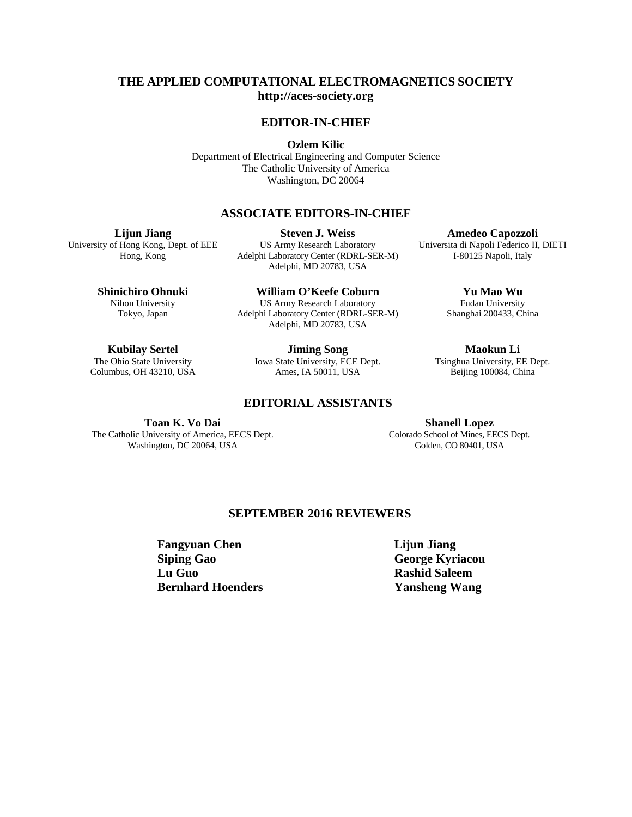### **THE APPLIED COMPUTATIONAL ELECTROMAGNETICS SOCIETY [http://aces-society.org](http://aces-society.org/)**

#### **EDITOR-IN-CHIEF**

**Ozlem Kilic**

Department of Electrical Engineering and Computer Science The Catholic University of America Washington, DC 20064

#### **ASSOCIATE EDITORS-IN-CHIEF**

**Lijun Jiang**

University of Hong Kong, Dept. of EEE Hong, Kong

**Steven J. Weiss** US Army Research Laboratory Adelphi Laboratory Center (RDRL-SER-M) Adelphi, MD 20783, USA

**Shinichiro Ohnuki** Nihon University Tokyo, Japan

**William O'Keefe Coburn** US Army Research Laboratory Adelphi Laboratory Center (RDRL-SER-M) Adelphi, MD 20783, USA

**Yu Mao Wu** Fudan University

**Amedeo Capozzoli** Universita di Napoli Federico II, DIETI I-80125 Napoli, Italy

Shanghai 200433, China

**Maokun Li** Tsinghua University, EE Dept. Beijing 100084, China

**Kubilay Sertel**

The Ohio State University Columbus, OH 43210, USA

**Jiming Song** Iowa State University, ECE Dept. Ames, IA 50011, USA

#### **EDITORIAL ASSISTANTS**

**Toan K. Vo Dai** The Catholic University of America, EECS Dept. Washington, DC 20064, USA

**Shanell Lopez** Colorado School of Mines, EECS Dept. Golden, CO 80401, USA

## **SEPTEMBER 2016 REVIEWERS**

**Fangyuan Chen Lijun Jiang Siping Gao Lu Guo Bernhard Hoenders**

**George Kyriacou Rashid Saleem Yansheng Wang**